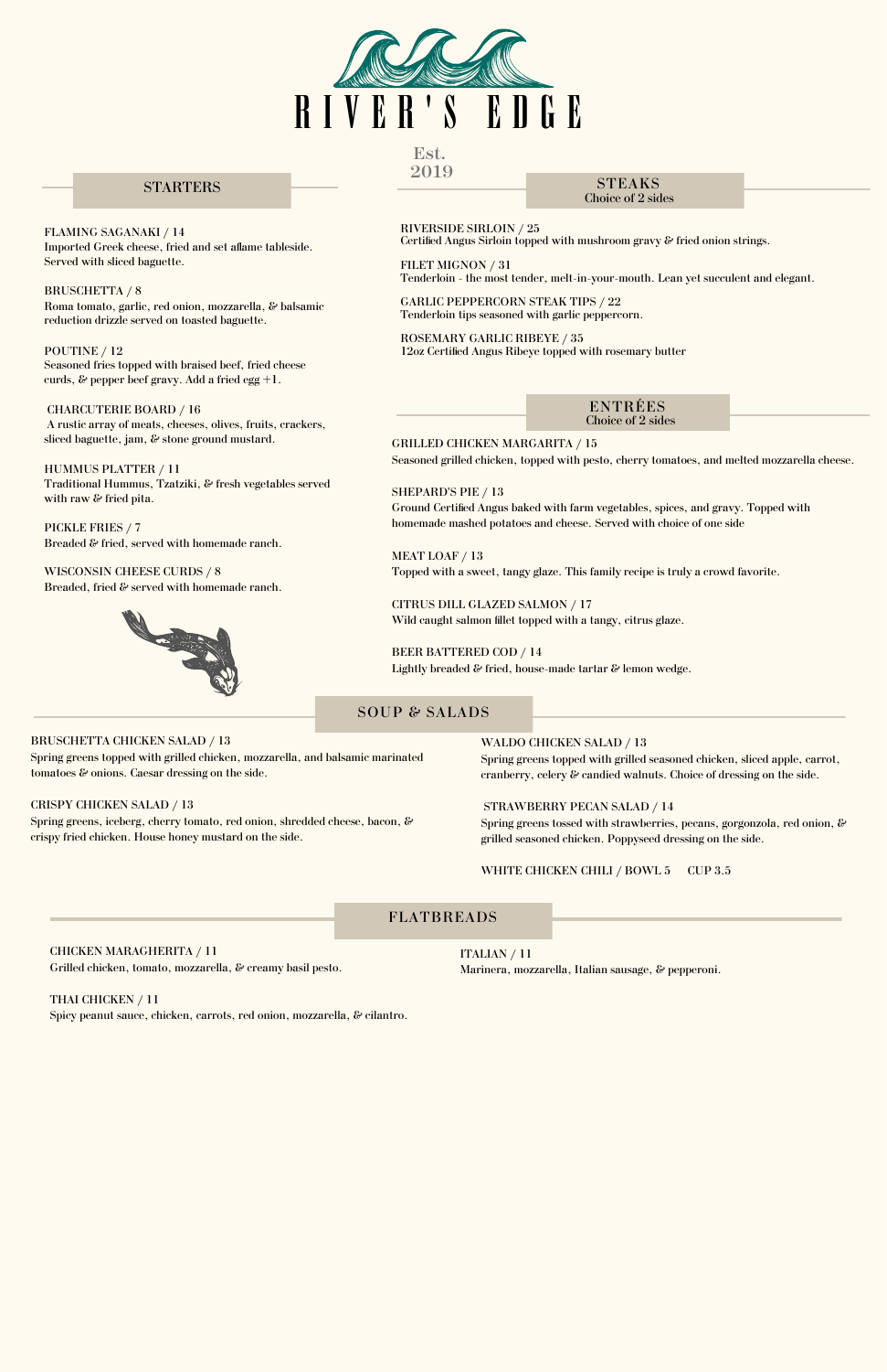

GRILLED CHICKEN MARGARITA / 15

Seasoned grilled chicken, topped with pesto, cherry tomatoes, and melted mozzarella cheese.

SHEPARD'S PIE / 13 Ground Certified Angus baked with farm vegetables, spices, and gravy. Topped with homemade mashed potatoes and cheese. Served with choice of one side

MEAT LOAF / 13 Topped with a sweet, tangy glaze. This family recipe is truly a crowd favorite.

CITRUS DILL GLAZED SALMON / 17 Wild caught salmon fillet topped with a tangy, citrus glaze.

BEER BATTERED COD / 14 Lightly breaded & fried, house-made tartar & lemon wedge.

> ITALIAN / 11 Marinera, mozzarella, Italian sausage, & pepperoni.

WALDO CHICKEN SALAD / 13

Spring greens topped with grilled seasoned chicken, sliced apple, carrot, cranberry, celery & candied walnuts. Choice of dressing on the side.

## STRAWBERRY PECAN SALAD / 14

Spring greens tossed with strawberries, pecans, gorgonzola, red onion, & grilled seasoned chicken. Poppyseed dressing on the side.

WHITE CHICKEN CHILI / BOWL 5 CUP 3.5

CHARCUTERIE BOARD / 16 A rustic array of meats, cheeses, olives, fruits, crackers, sliced baguette, jam, & stone ground mustard.

HUMMUS PLATTER / 11 Traditional Hummus, Tzatziki, & fresh vegetables served with raw & fried pita.

CHICKEN MARAGHERITA / 11 Grilled chicken, tomato, mozzarella, & creamy basil pesto.

WISCONSIN CHEESE CURDS / 8 Breaded, fried & served with homemade ranch.



THAI CHICKEN / 11

Spicy peanut sauce, chicken, carrots, red onion, mozzarella, & cilantro.

BRUSCHETTA CHICKEN SALAD / 13

Spring greens topped with grilled chicken, mozzarella, and balsamic marinated tomatoes & onions. Caesar dressing on the side.

CRISPY CHICKEN SALAD / 13 Spring greens, iceberg, cherry tomato, red onion, shredded cheese, bacon, & crispy fried chicken. House honey mustard on the side.

FLAMING SAGANAKI / 14 Imported Greek cheese, fried and set aflame tableside. Served with sliced baguette.

BRUSCHETTA / 8 Roma tomato, garlic, red onion, mozzarella, & balsamic reduction drizzle served on toasted baguette.

POUTINE / 12 Seasoned fries topped with braised beef, fried cheese curds, & pepper beef gravy. Add a fried egg +1.

PICKLE FRIES / 7 Breaded & fried, served with homemade ranch.

# SOUP & SALADS

# FLATBREADS

# STARTERS

RIVERSIDE SIRLOIN / 25 Certified Angus Sirloin topped with mushroom gravy & fried onion strings.

FILET MIGNON / 31 Tenderloin - the most tender, melt-in-your-mouth. Lean yet succulent and elegant.

> ENTRÉES Choice of 2 sides

STEAKS Choice of 2 sides

GARLIC PEPPERCORN STEAK TIPS / 22 Tenderloin tips seasoned with garlic peppercorn.

ROSEMARY GARLIC RIBEYE / 35 12oz Certified Angus Ribeye topped with rosemary butter

Est. 2019